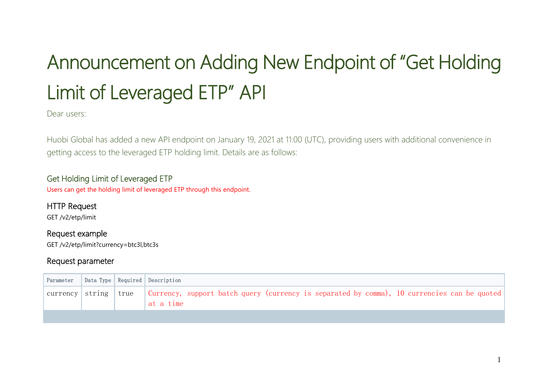# Announcement on Adding New Endpoint of "Get Holding Limit of Leveraged ETP" API

Dear users:

Huobi Global has added a new API endpoint on January 19, 2021 at 11:00 (UTC), providing users with additional convenience in getting access to the leveraged ETP holding limit. Details are as follows:

### Get Holding Limit of Leveraged ETP

Users can get the holding limit of leveraged ETP through this endpoint.

## HTTP Request

GET /v2/etp/limit

#### Request example

GET /v2/etp/limit?currency=btc3l,btc3s

#### Request parameter

| Parameter |  | Data Type   Required   Description                                                                                                    |
|-----------|--|---------------------------------------------------------------------------------------------------------------------------------------|
|           |  | currency   string   true   Currency, support batch query (currency is separated by comma), 10 currencies can be quoted  <br>at a time |
|           |  |                                                                                                                                       |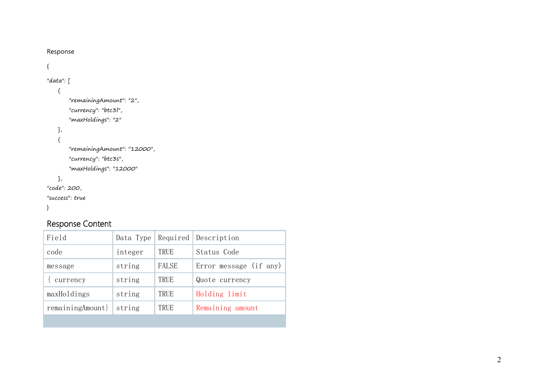| Response                                                                      |           |          |                        |
|-------------------------------------------------------------------------------|-----------|----------|------------------------|
| $\{$                                                                          |           |          |                        |
| "data": $[$                                                                   |           |          |                        |
| $\{$<br>"remainingAmount": "2",<br>"currency": "btc3l",<br>"maxHoldings": "2" |           |          |                        |
| },<br>$\{$<br>"remainingAmount": "12000",<br>"currency": "btc3s",             |           |          |                        |
| "maxHoldings": "12000"<br>},<br>"code": 200,<br>"success": true<br>$\}$       |           |          |                        |
| Response Content                                                              |           |          |                        |
| Field                                                                         | Data Type | Required | Description            |
| code                                                                          | integer   | TRUE     | Status Code            |
| message                                                                       | string    | FALSE    | Error message (if any) |
| currency                                                                      | string    | TRUE     | Quote currency         |
| maxHoldings                                                                   | string    | TRUE     | Holding limit          |
| remainingAmount}                                                              | string    | TRUE     | Remaining amount       |
|                                                                               |           |          |                        |
|                                                                               |           |          |                        |
|                                                                               |           |          |                        |
|                                                                               |           |          |                        |